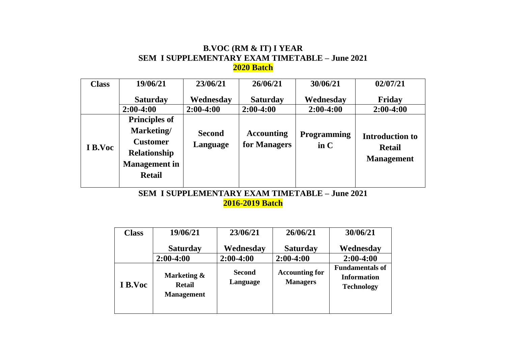#### **B.VOC (RM & IT) I YEAR SEM I SUPPLEMENTARY EXAM TIMETABLE – June 2021 2020 Batch**

| <b>Class</b> | 19/06/21                                                                                                              | 23/06/21                  | 26/06/21                          | 30/06/21                                       | 02/07/21                                                     |
|--------------|-----------------------------------------------------------------------------------------------------------------------|---------------------------|-----------------------------------|------------------------------------------------|--------------------------------------------------------------|
|              | <b>Saturday</b>                                                                                                       | Wednesday                 | <b>Saturday</b>                   | Wednesday                                      | Friday                                                       |
|              | $2:00-4:00$                                                                                                           | $2:00-4:00$               | $2:00-4:00$                       | $2:00-4:00$                                    | $2:00-4:00$                                                  |
| I B.Voc      | <b>Principles of</b><br>Marketing/<br><b>Customer</b><br><b>Relationship</b><br><b>Management</b> in<br><b>Retail</b> | <b>Second</b><br>Language | <b>Accounting</b><br>for Managers | <b>Programming</b><br>$\mathbf{in} \mathbf{C}$ | <b>Introduction to</b><br><b>Retail</b><br><b>Management</b> |

**SEM I SUPPLEMENTARY EXAM TIMETABLE – June 2021 2016-2019 Batch**

| <b>Class</b> | 19/06/21                                          | 23/06/21                  | 26/06/21                                 | 30/06/21                                                          |
|--------------|---------------------------------------------------|---------------------------|------------------------------------------|-------------------------------------------------------------------|
|              | <b>Saturday</b>                                   | Wednesday                 | <b>Saturday</b>                          | Wednesday                                                         |
|              | $2:00-4:00$                                       | $2:00-4:00$               | $2:00-4:00$                              | $2:00-4:00$                                                       |
| I B.Voc      | Marketing &<br><b>Retail</b><br><b>Management</b> | <b>Second</b><br>Language | <b>Accounting for</b><br><b>Managers</b> | <b>Fundamentals of</b><br><b>Information</b><br><b>Technology</b> |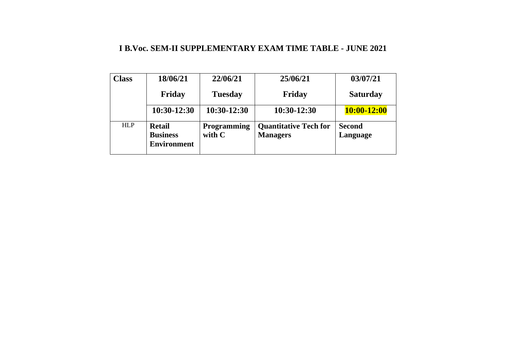#### **I B.Voc. SEM-II SUPPLEMENTARY EXAM TIME TABLE - JUNE 2021**

| <b>Class</b> | 18/06/21                                               | 22/06/21                       | 25/06/21                                        | 03/07/21                  |
|--------------|--------------------------------------------------------|--------------------------------|-------------------------------------------------|---------------------------|
|              | Friday                                                 | <b>Tuesday</b>                 | Friday                                          | <b>Saturday</b>           |
|              | 10:30-12:30                                            | 10:30-12:30                    | $10:30-12:30$                                   | $10:00 - 12:00$           |
| <b>HLP</b>   | <b>Retail</b><br><b>Business</b><br><b>Environment</b> | <b>Programming</b><br>with $C$ | <b>Quantitative Tech for</b><br><b>Managers</b> | <b>Second</b><br>Language |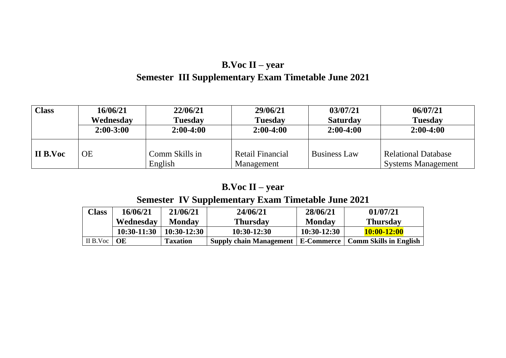# **B.Voc II – year Semester III Supplementary Exam Timetable June 2021**

| <b>Class</b> | 16/06/21      | 22/06/21                  | 29/06/21                       | 03/07/21            | 06/07/21                                                |
|--------------|---------------|---------------------------|--------------------------------|---------------------|---------------------------------------------------------|
|              | Wednesday     | <b>Tuesday</b>            | <b>Tuesday</b>                 | <b>Saturday</b>     | <b>Tuesday</b>                                          |
|              | $2:00 - 3:00$ | $2:00-4:00$               | $2:00-4:00$                    | $2:00-4:00$         | $2:00-4:00$                                             |
| II B.Voc     | <b>OE</b>     | Comm Skills in<br>English | Retail Financial<br>Management | <b>Business Law</b> | <b>Relational Database</b><br><b>Systems Management</b> |

# **B.Voc II – year**

### **Semester IV Supplementary Exam Timetable June 2021**

| <b>Class</b>    | 16/06/21      | 21/06/21        | 24/06/21                                                      | 28/06/21      | 01/07/21        |
|-----------------|---------------|-----------------|---------------------------------------------------------------|---------------|-----------------|
|                 | Wednesday     | <b>Monday</b>   | <b>Thursday</b>                                               | <b>Monday</b> | <b>Thursday</b> |
|                 | $10:30-11:30$ | $10:30-12:30$   | $10:30-12:30$                                                 | $10:30-12:30$ | $10:00 - 12:00$ |
| II B.Voc   $OE$ |               | <b>Taxation</b> | Supply chain Management   E-Commerce   Comm Skills in English |               |                 |